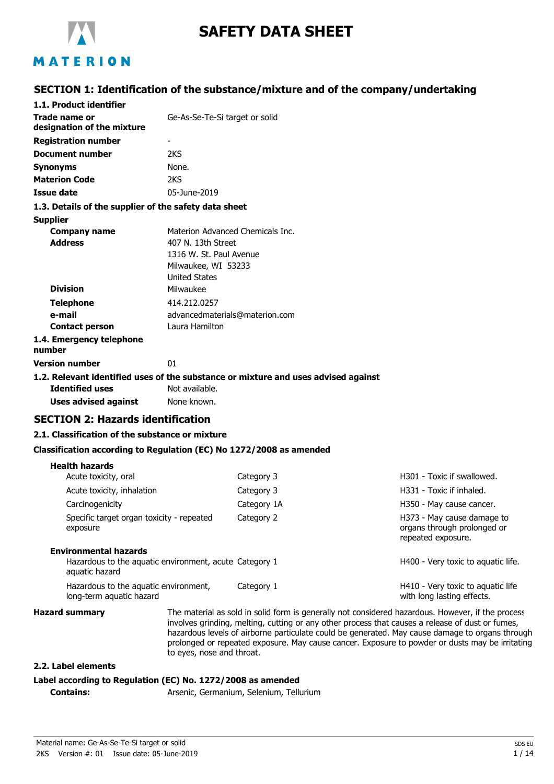

# **SAFETY DATA SHEET**

# MATERION

## **SECTION 1: Identification of the substance/mixture and of the company/undertaking**

| 1.1. Product identifier                                                                                      |                                                                                              |                                                                                                   |                                                                                 |
|--------------------------------------------------------------------------------------------------------------|----------------------------------------------------------------------------------------------|---------------------------------------------------------------------------------------------------|---------------------------------------------------------------------------------|
| Trade name or<br>designation of the mixture                                                                  | Ge-As-Se-Te-Si target or solid                                                               |                                                                                                   |                                                                                 |
| <b>Registration number</b>                                                                                   |                                                                                              |                                                                                                   |                                                                                 |
| <b>Document number</b>                                                                                       | 2KS                                                                                          |                                                                                                   |                                                                                 |
| Synonyms                                                                                                     | None.                                                                                        |                                                                                                   |                                                                                 |
| <b>Materion Code</b>                                                                                         | 2KS                                                                                          |                                                                                                   |                                                                                 |
| <b>Issue date</b>                                                                                            | 05-June-2019                                                                                 |                                                                                                   |                                                                                 |
| 1.3. Details of the supplier of the safety data sheet                                                        |                                                                                              |                                                                                                   |                                                                                 |
| Supplier                                                                                                     |                                                                                              |                                                                                                   |                                                                                 |
| <b>Company name</b><br><b>Address</b>                                                                        | 407 N. 13th Street<br>1316 W. St. Paul Avenue<br>Milwaukee, WI 53233<br><b>United States</b> | Materion Advanced Chemicals Inc.                                                                  |                                                                                 |
| <b>Division</b>                                                                                              | Milwaukee                                                                                    |                                                                                                   |                                                                                 |
| <b>Telephone</b>                                                                                             | 414.212.0257                                                                                 |                                                                                                   |                                                                                 |
| e-mail                                                                                                       |                                                                                              | advancedmaterials@materion.com                                                                    |                                                                                 |
| <b>Contact person</b>                                                                                        | Laura Hamilton                                                                               |                                                                                                   |                                                                                 |
| 1.4. Emergency telephone<br>number                                                                           |                                                                                              |                                                                                                   |                                                                                 |
| Version number                                                                                               | 01                                                                                           |                                                                                                   |                                                                                 |
| 1.2. Relevant identified uses of the substance or mixture and uses advised against<br><b>Identified uses</b> | Not available.                                                                               |                                                                                                   |                                                                                 |
| <b>Uses advised against</b>                                                                                  | None known.                                                                                  |                                                                                                   |                                                                                 |
| <b>SECTION 2: Hazards identification</b>                                                                     |                                                                                              |                                                                                                   |                                                                                 |
| 2.1. Classification of the substance or mixture                                                              |                                                                                              |                                                                                                   |                                                                                 |
| Classification according to Regulation (EC) No 1272/2008 as amended                                          |                                                                                              |                                                                                                   |                                                                                 |
| <b>Health hazards</b><br>Acute toxicity, oral                                                                |                                                                                              | Category 3                                                                                        | H301 - Toxic if swallowed.                                                      |
| Acute toxicity, inhalation                                                                                   |                                                                                              | Category 3                                                                                        | H331 - Toxic if inhaled.                                                        |
| Carcinogenicity                                                                                              |                                                                                              | Category 1A                                                                                       | H350 - May cause cancer.                                                        |
| Specific target organ toxicity - repeated<br>exposure                                                        |                                                                                              | Category 2                                                                                        | H373 - May cause damage to<br>organs through prolonged or<br>repeated exposure. |
| <b>Environmental hazards</b><br>Hazardous to the aquatic environment, acute Category 1<br>aquatic hazard     |                                                                                              |                                                                                                   | H400 - Very toxic to aquatic life.                                              |
| Hazardous to the aquatic environment,<br>long-term aquatic hazard                                            |                                                                                              | Category 1                                                                                        | H410 - Very toxic to aquatic life<br>with long lasting effects.                 |
| <b>Hazard summary</b>                                                                                        |                                                                                              | The material as sold in solid form is generally not considered hazardous. However, if the process |                                                                                 |

involves grinding, melting, cutting or any other process that causes a release of dust or fumes, hazardous levels of airborne particulate could be generated. May cause damage to organs through prolonged or repeated exposure. May cause cancer. Exposure to powder or dusts may be irritating to eyes, nose and throat.

### **2.2. Label elements**

## **Label according to Regulation (EC) No. 1272/2008 as amended**

**Contains:** Arsenic, Germanium, Selenium, Tellurium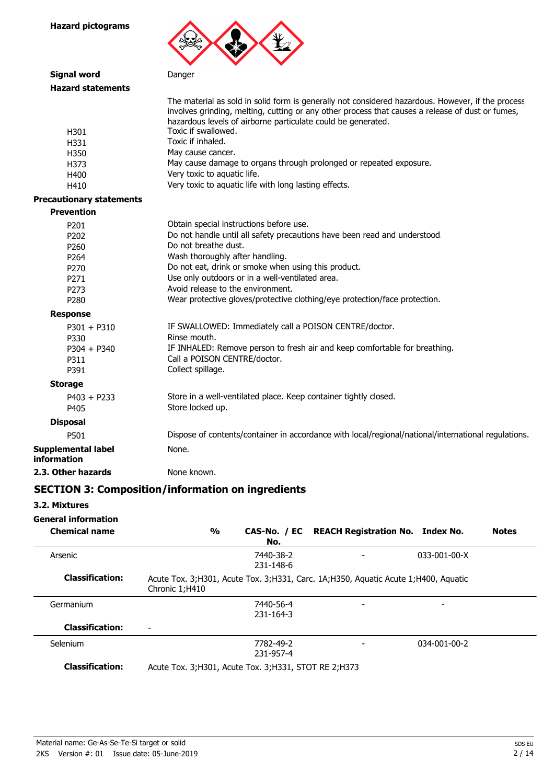

| <b>Signal word</b>                                                                                                       | Danger                                                                                                                                                                                                                                                                                                                                                                                                                                                                 |
|--------------------------------------------------------------------------------------------------------------------------|------------------------------------------------------------------------------------------------------------------------------------------------------------------------------------------------------------------------------------------------------------------------------------------------------------------------------------------------------------------------------------------------------------------------------------------------------------------------|
| <b>Hazard statements</b>                                                                                                 |                                                                                                                                                                                                                                                                                                                                                                                                                                                                        |
| H301<br>H331<br>H350<br>H373                                                                                             | The material as sold in solid form is generally not considered hazardous. However, if the process<br>involves grinding, melting, cutting or any other process that causes a release of dust or fumes,<br>hazardous levels of airborne particulate could be generated.<br>Toxic if swallowed.<br>Toxic if inhaled.<br>May cause cancer.<br>May cause damage to organs through prolonged or repeated exposure.                                                           |
| H400                                                                                                                     | Very toxic to aquatic life.                                                                                                                                                                                                                                                                                                                                                                                                                                            |
| H410                                                                                                                     | Very toxic to aquatic life with long lasting effects.                                                                                                                                                                                                                                                                                                                                                                                                                  |
| <b>Precautionary statements</b>                                                                                          |                                                                                                                                                                                                                                                                                                                                                                                                                                                                        |
| <b>Prevention</b>                                                                                                        |                                                                                                                                                                                                                                                                                                                                                                                                                                                                        |
| P201<br>P202<br>P <sub>260</sub><br>P <sub>264</sub><br>P270<br>P271<br>P273<br>P280<br><b>Response</b><br>$P301 + P310$ | Obtain special instructions before use.<br>Do not handle until all safety precautions have been read and understood.<br>Do not breathe dust.<br>Wash thoroughly after handling.<br>Do not eat, drink or smoke when using this product.<br>Use only outdoors or in a well-ventilated area.<br>Avoid release to the environment.<br>Wear protective gloves/protective clothing/eye protection/face protection.<br>IF SWALLOWED: Immediately call a POISON CENTRE/doctor. |
| P330<br>$P304 + P340$<br>P311<br>P391                                                                                    | Rinse mouth.<br>IF INHALED: Remove person to fresh air and keep comfortable for breathing.<br>Call a POISON CENTRE/doctor.<br>Collect spillage.                                                                                                                                                                                                                                                                                                                        |
| <b>Storage</b>                                                                                                           |                                                                                                                                                                                                                                                                                                                                                                                                                                                                        |
| $P403 + P233$<br>P405                                                                                                    | Store in a well-ventilated place. Keep container tightly closed.<br>Store locked up.                                                                                                                                                                                                                                                                                                                                                                                   |
| <b>Disposal</b>                                                                                                          |                                                                                                                                                                                                                                                                                                                                                                                                                                                                        |
| P501                                                                                                                     | Dispose of contents/container in accordance with local/regional/national/international regulations.                                                                                                                                                                                                                                                                                                                                                                    |
| <b>Supplemental label</b><br>information                                                                                 | None.                                                                                                                                                                                                                                                                                                                                                                                                                                                                  |
| 2.3. Other hazards                                                                                                       | None known.                                                                                                                                                                                                                                                                                                                                                                                                                                                            |

# **SECTION 3: Composition/information on ingredients**

**3.2. Mixtures**

**General information**

| <b>Chemical name</b>   | $\frac{0}{0}$<br>No.                                                                                 | CAS-No. / EC REACH Registration No. Index No. |                      | <b>Notes</b> |
|------------------------|------------------------------------------------------------------------------------------------------|-----------------------------------------------|----------------------|--------------|
| Arsenic                | 7440-38-2<br>231-148-6                                                                               |                                               | $033 - 001 - 00 - X$ |              |
| <b>Classification:</b> | Acute Tox. 3;H301, Acute Tox. 3;H331, Carc. 1A;H350, Aquatic Acute 1;H400, Aquatic<br>Chronic 1;H410 |                                               |                      |              |
| Germanium              | 7440-56-4<br>231-164-3                                                                               |                                               |                      |              |
| <b>Classification:</b> |                                                                                                      |                                               |                      |              |
| Selenium               | 7782-49-2<br>231-957-4                                                                               |                                               | 034-001-00-2         |              |
| <b>Classification:</b> | Acute Tox. 3; H301, Acute Tox. 3; H331, STOT RE 2; H373                                              |                                               |                      |              |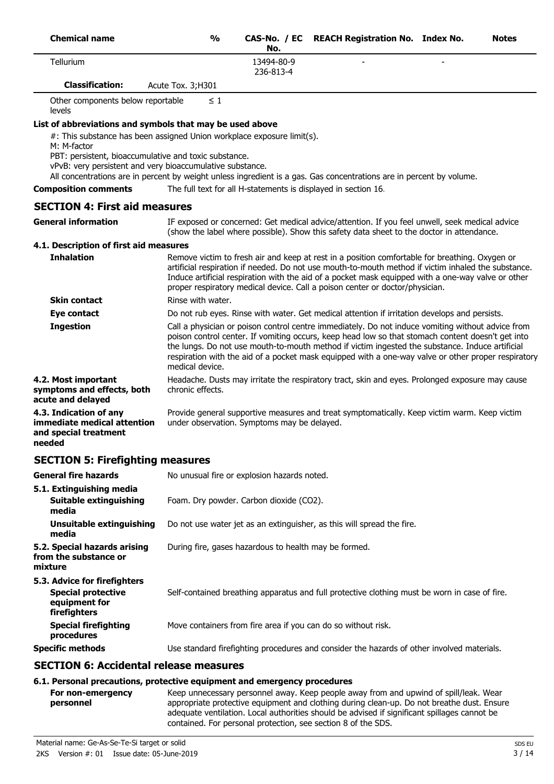| <b>Chemical name</b>                                                                                                                                                                                                                                                                                                                |                   | $\frac{0}{0}$     | No.                                         | CAS-No. / EC REACH Registration No. Index No.                                                                                                                                                                                                                                                                                                                                                                    | <b>Notes</b> |
|-------------------------------------------------------------------------------------------------------------------------------------------------------------------------------------------------------------------------------------------------------------------------------------------------------------------------------------|-------------------|-------------------|---------------------------------------------|------------------------------------------------------------------------------------------------------------------------------------------------------------------------------------------------------------------------------------------------------------------------------------------------------------------------------------------------------------------------------------------------------------------|--------------|
| Tellurium                                                                                                                                                                                                                                                                                                                           |                   |                   | 13494-80-9<br>236-813-4                     |                                                                                                                                                                                                                                                                                                                                                                                                                  |              |
| <b>Classification:</b>                                                                                                                                                                                                                                                                                                              | Acute Tox. 3;H301 |                   |                                             |                                                                                                                                                                                                                                                                                                                                                                                                                  |              |
| Other components below reportable<br>levels                                                                                                                                                                                                                                                                                         |                   | $\leq 1$          |                                             |                                                                                                                                                                                                                                                                                                                                                                                                                  |              |
| List of abbreviations and symbols that may be used above                                                                                                                                                                                                                                                                            |                   |                   |                                             |                                                                                                                                                                                                                                                                                                                                                                                                                  |              |
| #: This substance has been assigned Union workplace exposure limit(s).<br>M: M-factor<br>PBT: persistent, bioaccumulative and toxic substance.<br>vPvB: very persistent and very bioaccumulative substance.<br>All concentrations are in percent by weight unless ingredient is a gas. Gas concentrations are in percent by volume. |                   |                   |                                             |                                                                                                                                                                                                                                                                                                                                                                                                                  |              |
| <b>Composition comments</b>                                                                                                                                                                                                                                                                                                         |                   |                   |                                             | The full text for all H-statements is displayed in section 16.                                                                                                                                                                                                                                                                                                                                                   |              |
| <b>SECTION 4: First aid measures</b>                                                                                                                                                                                                                                                                                                |                   |                   |                                             |                                                                                                                                                                                                                                                                                                                                                                                                                  |              |
| <b>General information</b>                                                                                                                                                                                                                                                                                                          |                   |                   |                                             | IF exposed or concerned: Get medical advice/attention. If you feel unwell, seek medical advice<br>(show the label where possible). Show this safety data sheet to the doctor in attendance.                                                                                                                                                                                                                      |              |
| 4.1. Description of first aid measures                                                                                                                                                                                                                                                                                              |                   |                   |                                             |                                                                                                                                                                                                                                                                                                                                                                                                                  |              |
| <b>Inhalation</b>                                                                                                                                                                                                                                                                                                                   |                   |                   |                                             | Remove victim to fresh air and keep at rest in a position comfortable for breathing. Oxygen or<br>artificial respiration if needed. Do not use mouth-to-mouth method if victim inhaled the substance.<br>Induce artificial respiration with the aid of a pocket mask equipped with a one-way valve or other<br>proper respiratory medical device. Call a poison center or doctor/physician.                      |              |
| <b>Skin contact</b>                                                                                                                                                                                                                                                                                                                 |                   | Rinse with water. |                                             |                                                                                                                                                                                                                                                                                                                                                                                                                  |              |
| <b>Eye contact</b>                                                                                                                                                                                                                                                                                                                  |                   |                   |                                             | Do not rub eyes. Rinse with water. Get medical attention if irritation develops and persists.                                                                                                                                                                                                                                                                                                                    |              |
| <b>Ingestion</b>                                                                                                                                                                                                                                                                                                                    |                   | medical device.   |                                             | Call a physician or poison control centre immediately. Do not induce vomiting without advice from<br>poison control center. If vomiting occurs, keep head low so that stomach content doesn't get into<br>the lungs. Do not use mouth-to-mouth method if victim ingested the substance. Induce artificial<br>respiration with the aid of a pocket mask equipped with a one-way valve or other proper respiratory |              |
| 4.2. Most important<br>symptoms and effects, both<br>acute and delayed                                                                                                                                                                                                                                                              |                   | chronic effects.  |                                             | Headache. Dusts may irritate the respiratory tract, skin and eyes. Prolonged exposure may cause                                                                                                                                                                                                                                                                                                                  |              |
| 4.3. Indication of any<br>immediate medical attention<br>and special treatment<br>needed                                                                                                                                                                                                                                            |                   |                   | under observation. Symptoms may be delayed. | Provide general supportive measures and treat symptomatically. Keep victim warm. Keep victim                                                                                                                                                                                                                                                                                                                     |              |
| <b>SECTION 5: Firefighting measures</b>                                                                                                                                                                                                                                                                                             |                   |                   |                                             |                                                                                                                                                                                                                                                                                                                                                                                                                  |              |
| <b>General fire hazards</b>                                                                                                                                                                                                                                                                                                         |                   |                   | No unusual fire or explosion hazards noted. |                                                                                                                                                                                                                                                                                                                                                                                                                  |              |
| 5.1. Extinguishing media<br>Suitable extinguishing<br>media                                                                                                                                                                                                                                                                         |                   |                   | Foam. Dry powder. Carbon dioxide (CO2).     |                                                                                                                                                                                                                                                                                                                                                                                                                  |              |
| <b>Unsuitable extinguishing</b><br>media                                                                                                                                                                                                                                                                                            |                   |                   |                                             | Do not use water jet as an extinguisher, as this will spread the fire.                                                                                                                                                                                                                                                                                                                                           |              |
| 5.2. Special hazards arising<br>from the substance or<br>mixture                                                                                                                                                                                                                                                                    |                   |                   |                                             | During fire, gases hazardous to health may be formed.                                                                                                                                                                                                                                                                                                                                                            |              |
| 5.3. Advice for firefighters<br><b>Special protective</b><br>equipment for<br>firefighters                                                                                                                                                                                                                                          |                   |                   |                                             | Self-contained breathing apparatus and full protective clothing must be worn in case of fire.                                                                                                                                                                                                                                                                                                                    |              |
| <b>Special firefighting</b><br>procedures                                                                                                                                                                                                                                                                                           |                   |                   |                                             | Move containers from fire area if you can do so without risk.                                                                                                                                                                                                                                                                                                                                                    |              |
| <b>Specific methods</b>                                                                                                                                                                                                                                                                                                             |                   |                   |                                             | Use standard firefighting procedures and consider the hazards of other involved materials.                                                                                                                                                                                                                                                                                                                       |              |
| <b>SECTION 6: Accidental release measures</b>                                                                                                                                                                                                                                                                                       |                   |                   |                                             |                                                                                                                                                                                                                                                                                                                                                                                                                  |              |
| 6.1. Personal precautions, protective equipment and emergency procedures                                                                                                                                                                                                                                                            |                   |                   |                                             |                                                                                                                                                                                                                                                                                                                                                                                                                  |              |

Keep unnecessary personnel away. Keep people away from and upwind of spill/leak. Wear appropriate protective equipment and clothing during clean-up. Do not breathe dust. Ensure adequate ventilation. Local authorities should be advised if significant spillages cannot be contained. For personal protection, see section 8 of the SDS. **For non-emergency personnel**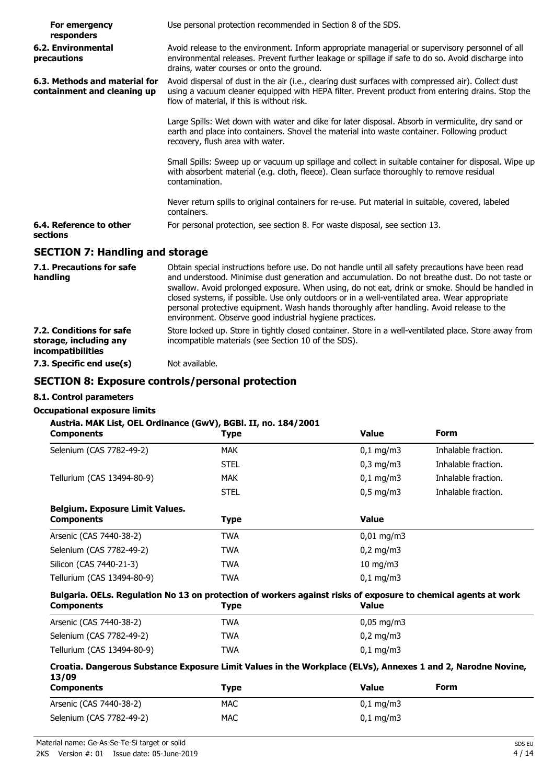| For emergency<br>responders                                  | Use personal protection recommended in Section 8 of the SDS.                                                                                                                                                                                                                                                                                                                                                                                                                                                                                                     |
|--------------------------------------------------------------|------------------------------------------------------------------------------------------------------------------------------------------------------------------------------------------------------------------------------------------------------------------------------------------------------------------------------------------------------------------------------------------------------------------------------------------------------------------------------------------------------------------------------------------------------------------|
| 6.2. Environmental<br>precautions                            | Avoid release to the environment. Inform appropriate managerial or supervisory personnel of all<br>environmental releases. Prevent further leakage or spillage if safe to do so. Avoid discharge into<br>drains, water courses or onto the ground.                                                                                                                                                                                                                                                                                                               |
| 6.3. Methods and material for<br>containment and cleaning up | Avoid dispersal of dust in the air (i.e., clearing dust surfaces with compressed air). Collect dust<br>using a vacuum cleaner equipped with HEPA filter. Prevent product from entering drains. Stop the<br>flow of material, if this is without risk.                                                                                                                                                                                                                                                                                                            |
|                                                              | Large Spills: Wet down with water and dike for later disposal. Absorb in vermiculite, dry sand or<br>earth and place into containers. Shovel the material into waste container. Following product<br>recovery, flush area with water.                                                                                                                                                                                                                                                                                                                            |
|                                                              | Small Spills: Sweep up or vacuum up spillage and collect in suitable container for disposal. Wipe up<br>with absorbent material (e.g. cloth, fleece). Clean surface thoroughly to remove residual<br>contamination.                                                                                                                                                                                                                                                                                                                                              |
|                                                              | Never return spills to original containers for re-use. Put material in suitable, covered, labeled<br>containers.                                                                                                                                                                                                                                                                                                                                                                                                                                                 |
| 6.4. Reference to other<br>sections                          | For personal protection, see section 8. For waste disposal, see section 13.                                                                                                                                                                                                                                                                                                                                                                                                                                                                                      |
| <b>SECTION 7: Handling and storage</b>                       |                                                                                                                                                                                                                                                                                                                                                                                                                                                                                                                                                                  |
| 7.1. Precautions for safe<br>handling                        | Obtain special instructions before use. Do not handle until all safety precautions have been read<br>and understood. Minimise dust generation and accumulation. Do not breathe dust. Do not taste or<br>swallow. Avoid prolonged exposure. When using, do not eat, drink or smoke. Should be handled in<br>closed systems, if possible. Use only outdoors or in a well-ventilated area. Wear appropriate<br>personal protective equipment. Wash hands thoroughly after handling. Avoid release to the<br>environment. Observe good industrial hygiene practices. |

| 7.2. Conditions for safe | Store locked up. Store in tightly closed container. Store in a well-ventilated place. Store away from |
|--------------------------|-------------------------------------------------------------------------------------------------------|
| storage, including any   | incompatible materials (see Section 10 of the SDS).                                                   |
| <i>incompatibilities</i> |                                                                                                       |

**7.3. Specific end use(s)** Not available.

## **SECTION 8: Exposure controls/personal protection**

### **8.1. Control parameters**

### **Occupational exposure limits**

### **Austria. MAK List, OEL Ordinance (GwV), BGBl. II, no. 184/2001**

| <b>Components</b>                                    | <b>Type</b> | <b>Value</b>            | <b>Form</b>         |
|------------------------------------------------------|-------------|-------------------------|---------------------|
| Selenium (CAS 7782-49-2)                             | <b>MAK</b>  | $0,1$ mg/m3             | Inhalable fraction. |
|                                                      | <b>STEL</b> | $0,3$ mg/m $3$          | Inhalable fraction. |
| Tellurium (CAS 13494-80-9)                           | MAK         | $0,1 \,\mathrm{mq/m}$ 3 | Inhalable fraction. |
|                                                      | <b>STEL</b> | $0.5 \text{ mg/m}$      | Inhalable fraction. |
| Belgium. Exposure Limit Values.<br><b>Components</b> | <b>Type</b> | <b>Value</b>            |                     |
| Arsenic (CAS 7440-38-2)                              | <b>TWA</b>  | $0,01 \text{ mg/m}$ 3   |                     |
| Selenium (CAS 7782-49-2)                             | <b>TWA</b>  | $0.2 \text{ mg/m}$      |                     |
| Silicon (CAS 7440-21-3)                              | <b>TWA</b>  | $10$ mg/m $3$           |                     |
| Tellurium (CAS 13494-80-9)                           | <b>TWA</b>  | $0,1$ mg/m3             |                     |

#### **Bulgaria. OELs. Regulation No 13 on protection of workers against risks of exposure to chemical agents at work Components** Type

| . 7.7      | .                      |
|------------|------------------------|
| TWA        | $0,05 \,\mathrm{mg/m}$ |
| <b>TWA</b> | $0.2 \text{ mg/m}$     |
| <b>TWA</b> | $0.1 \text{ mg/m}$     |
|            |                        |

#### **Croatia. Dangerous Substance Exposure Limit Values in the Workplace (ELVs), Annexes 1 and 2, Narodne Novine, 13/09**

| <b>Components</b>        | Type       | Value                 | Form |
|--------------------------|------------|-----------------------|------|
| Arsenic (CAS 7440-38-2)  | <b>MAC</b> | $0,1 \,\mathrm{mg/m}$ |      |
| Selenium (CAS 7782-49-2) | <b>MAC</b> | $0,1 \,\mathrm{mg/m}$ |      |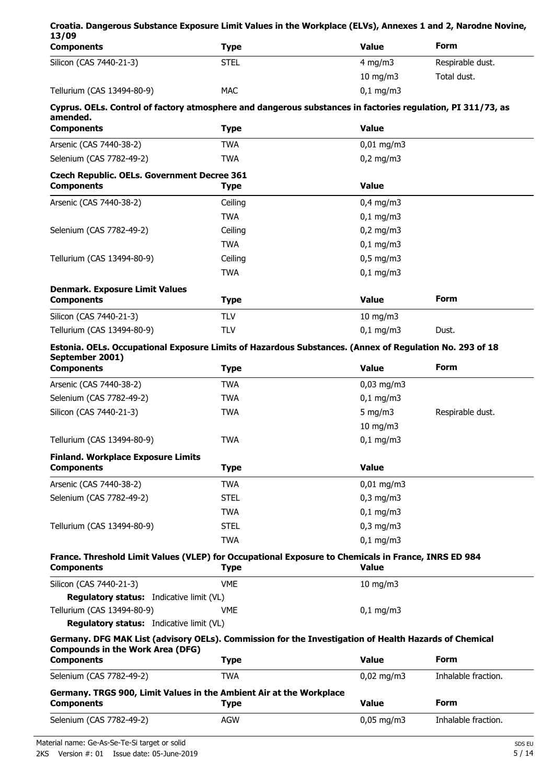| Croatia. Dangerous Substance Exposure Limit Values in the Workplace (ELVs), Annexes 1 and 2, Narodne Novine,<br>13/09                            |             |                |                     |
|--------------------------------------------------------------------------------------------------------------------------------------------------|-------------|----------------|---------------------|
| <b>Components</b>                                                                                                                                | <b>Type</b> | <b>Value</b>   | <b>Form</b>         |
| Silicon (CAS 7440-21-3)                                                                                                                          | <b>STEL</b> | 4 mg/m $3$     | Respirable dust.    |
|                                                                                                                                                  |             | $10$ mg/m $3$  | Total dust.         |
| Tellurium (CAS 13494-80-9)                                                                                                                       | <b>MAC</b>  | $0,1$ mg/m3    |                     |
| Cyprus. OELs. Control of factory atmosphere and dangerous substances in factories regulation, PI 311/73, as<br>amended.                          |             |                |                     |
| <b>Components</b>                                                                                                                                | <b>Type</b> | <b>Value</b>   |                     |
| Arsenic (CAS 7440-38-2)                                                                                                                          | <b>TWA</b>  | $0,01$ mg/m3   |                     |
| Selenium (CAS 7782-49-2)                                                                                                                         | <b>TWA</b>  | $0,2$ mg/m3    |                     |
| <b>Czech Republic. OELs. Government Decree 361</b>                                                                                               |             |                |                     |
| <b>Components</b>                                                                                                                                | <b>Type</b> | <b>Value</b>   |                     |
| Arsenic (CAS 7440-38-2)                                                                                                                          | Ceiling     | $0,4$ mg/m3    |                     |
|                                                                                                                                                  | <b>TWA</b>  | $0,1$ mg/m3    |                     |
| Selenium (CAS 7782-49-2)                                                                                                                         | Ceiling     | $0,2$ mg/m3    |                     |
|                                                                                                                                                  | <b>TWA</b>  | $0,1$ mg/m3    |                     |
| Tellurium (CAS 13494-80-9)                                                                                                                       | Ceiling     | $0,5$ mg/m3    |                     |
|                                                                                                                                                  | <b>TWA</b>  | $0,1$ mg/m3    |                     |
| <b>Denmark. Exposure Limit Values</b><br><b>Components</b>                                                                                       | <b>Type</b> | <b>Value</b>   | Form                |
| Silicon (CAS 7440-21-3)                                                                                                                          | <b>TLV</b>  | $10$ mg/m $3$  |                     |
| Tellurium (CAS 13494-80-9)                                                                                                                       | <b>TLV</b>  | $0,1$ mg/m3    | Dust.               |
|                                                                                                                                                  |             |                |                     |
| Estonia. OELs. Occupational Exposure Limits of Hazardous Substances. (Annex of Regulation No. 293 of 18<br>September 2001)                       |             |                |                     |
| <b>Components</b>                                                                                                                                | <b>Type</b> | <b>Value</b>   | Form                |
| Arsenic (CAS 7440-38-2)                                                                                                                          | <b>TWA</b>  | $0,03$ mg/m3   |                     |
| Selenium (CAS 7782-49-2)                                                                                                                         | <b>TWA</b>  | $0,1$ mg/m3    |                     |
| Silicon (CAS 7440-21-3)                                                                                                                          | <b>TWA</b>  | 5 mg/m $3$     | Respirable dust.    |
|                                                                                                                                                  |             | 10 mg/m3       |                     |
| Tellurium (CAS 13494-80-9)                                                                                                                       | <b>TWA</b>  | $0,1$ mg/m3    |                     |
| <b>Finland. Workplace Exposure Limits</b>                                                                                                        |             |                |                     |
| <b>Components</b>                                                                                                                                | <b>Type</b> | <b>Value</b>   |                     |
| Arsenic (CAS 7440-38-2)                                                                                                                          | <b>TWA</b>  | $0,01$ mg/m3   |                     |
| Selenium (CAS 7782-49-2)                                                                                                                         | <b>STEL</b> | $0,3$ mg/m $3$ |                     |
|                                                                                                                                                  | <b>TWA</b>  | $0,1$ mg/m3    |                     |
| Tellurium (CAS 13494-80-9)                                                                                                                       | <b>STEL</b> | $0,3$ mg/m $3$ |                     |
|                                                                                                                                                  | <b>TWA</b>  | $0,1$ mg/m3    |                     |
| France. Threshold Limit Values (VLEP) for Occupational Exposure to Chemicals in France, INRS ED 984<br><b>Components</b>                         | <b>Type</b> | <b>Value</b>   |                     |
| Silicon (CAS 7440-21-3)                                                                                                                          | <b>VME</b>  | $10$ mg/m $3$  |                     |
| Regulatory status: Indicative limit (VL)                                                                                                         |             |                |                     |
| Tellurium (CAS 13494-80-9)                                                                                                                       | VME         | $0,1$ mg/m3    |                     |
| Regulatory status: Indicative limit (VL)                                                                                                         |             |                |                     |
| Germany. DFG MAK List (advisory OELs). Commission for the Investigation of Health Hazards of Chemical<br><b>Compounds in the Work Area (DFG)</b> |             |                |                     |
| <b>Components</b>                                                                                                                                | <b>Type</b> | <b>Value</b>   | <b>Form</b>         |
| Selenium (CAS 7782-49-2)                                                                                                                         | <b>TWA</b>  | $0,02$ mg/m3   | Inhalable fraction. |
| Germany. TRGS 900, Limit Values in the Ambient Air at the Workplace<br><b>Components</b>                                                         | <b>Type</b> | <b>Value</b>   | <b>Form</b>         |
| Selenium (CAS 7782-49-2)                                                                                                                         | <b>AGW</b>  | $0,05$ mg/m3   | Inhalable fraction. |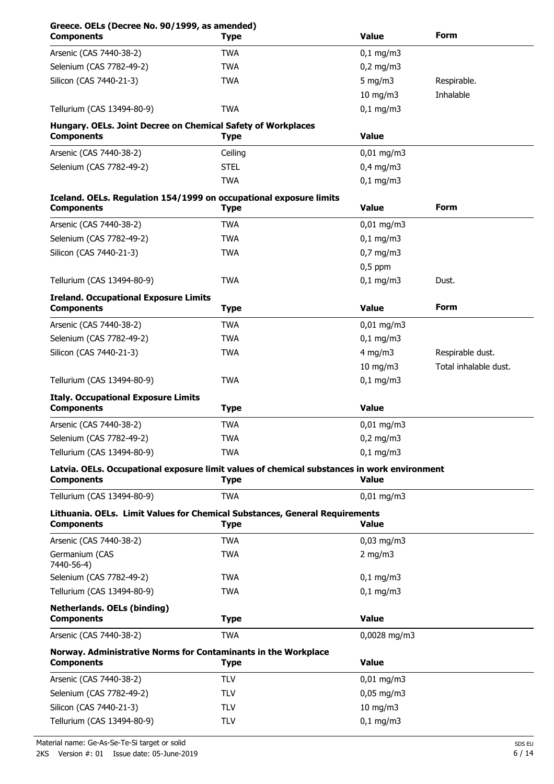| Greece. OELs (Decree No. 90/1999, as amended)<br><b>Components</b>                                               | <b>Type</b> | <b>Value</b>           | Form                  |
|------------------------------------------------------------------------------------------------------------------|-------------|------------------------|-----------------------|
| Arsenic (CAS 7440-38-2)                                                                                          | <b>TWA</b>  | $0,1$ mg/m3            |                       |
| Selenium (CAS 7782-49-2)                                                                                         | <b>TWA</b>  | $0,2$ mg/m3            |                       |
| Silicon (CAS 7440-21-3)                                                                                          | <b>TWA</b>  | $5$ mg/m $3$           | Respirable.           |
|                                                                                                                  |             | 10 mg/m3               | Inhalable             |
| Tellurium (CAS 13494-80-9)                                                                                       | <b>TWA</b>  | $0,1$ mg/m3            |                       |
| Hungary. OELs. Joint Decree on Chemical Safety of Workplaces<br><b>Components</b>                                | Type        | <b>Value</b>           |                       |
| Arsenic (CAS 7440-38-2)                                                                                          | Ceiling     | $0,01$ mg/m3           |                       |
| Selenium (CAS 7782-49-2)                                                                                         | <b>STEL</b> | $0,4$ mg/m3            |                       |
|                                                                                                                  | <b>TWA</b>  | $0,1$ mg/m3            |                       |
| Iceland. OELs. Regulation 154/1999 on occupational exposure limits<br><b>Components</b>                          | <b>Type</b> | <b>Value</b>           | Form                  |
| Arsenic (CAS 7440-38-2)                                                                                          | <b>TWA</b>  | $0,01$ mg/m3           |                       |
| Selenium (CAS 7782-49-2)                                                                                         | <b>TWA</b>  | $0,1$ mg/m3            |                       |
| Silicon (CAS 7440-21-3)                                                                                          | <b>TWA</b>  | $0,7$ mg/m3            |                       |
|                                                                                                                  |             | $0,5$ ppm              |                       |
| Tellurium (CAS 13494-80-9)                                                                                       | <b>TWA</b>  | $0,1$ mg/m3            | Dust.                 |
| <b>Ireland. Occupational Exposure Limits</b><br><b>Components</b>                                                | <b>Type</b> | <b>Value</b>           | <b>Form</b>           |
| Arsenic (CAS 7440-38-2)                                                                                          | <b>TWA</b>  | $0,01$ mg/m3           |                       |
| Selenium (CAS 7782-49-2)                                                                                         | <b>TWA</b>  | $0,1$ mg/m3            |                       |
| Silicon (CAS 7440-21-3)                                                                                          | <b>TWA</b>  | $4$ mg/m $3$           | Respirable dust.      |
|                                                                                                                  |             | $10$ mg/m $3$          | Total inhalable dust. |
| Tellurium (CAS 13494-80-9)                                                                                       | <b>TWA</b>  | $0,1$ mg/m3            |                       |
|                                                                                                                  |             |                        |                       |
| <b>Italy. Occupational Exposure Limits</b><br><b>Components</b>                                                  | <b>Type</b> | <b>Value</b>           |                       |
| Arsenic (CAS 7440-38-2)                                                                                          | <b>TWA</b>  | 0,01 mg/m3             |                       |
| Selenium (CAS 7782-49-2)                                                                                         | <b>TWA</b>  | $0.2 \text{ ma/m}$ 3   |                       |
| Tellurium (CAS 13494-80-9)                                                                                       | <b>TWA</b>  | $0,1$ mg/m3            |                       |
| Latvia. OELs. Occupational exposure limit values of chemical substances in work environment<br><b>Components</b> | Type        | Value                  |                       |
| Tellurium (CAS 13494-80-9)                                                                                       | <b>TWA</b>  | $0,01$ mg/m3           |                       |
| Lithuania. OELs. Limit Values for Chemical Substances, General Requirements<br><b>Components</b>                 | Type        | <b>Value</b>           |                       |
| Arsenic (CAS 7440-38-2)                                                                                          | <b>TWA</b>  | $0,03$ mg/m3           |                       |
| Germanium (CAS<br>7440-56-4)                                                                                     | <b>TWA</b>  | 2 mg/m $3$             |                       |
| Selenium (CAS 7782-49-2)                                                                                         | <b>TWA</b>  | $0,1$ mg/m3            |                       |
| Tellurium (CAS 13494-80-9)                                                                                       | <b>TWA</b>  | $0,1$ mg/m3            |                       |
| <b>Netherlands. OELs (binding)</b><br><b>Components</b>                                                          | <b>Type</b> | <b>Value</b>           |                       |
| Arsenic (CAS 7440-38-2)                                                                                          | <b>TWA</b>  | 0,0028 mg/m3           |                       |
| Norway. Administrative Norms for Contaminants in the Workplace<br><b>Components</b>                              | <b>Type</b> | <b>Value</b>           |                       |
| Arsenic (CAS 7440-38-2)                                                                                          | <b>TLV</b>  | $0,01 \,\mathrm{mg/m}$ |                       |
| Selenium (CAS 7782-49-2)                                                                                         | <b>TLV</b>  | $0,05$ mg/m3           |                       |
| Silicon (CAS 7440-21-3)                                                                                          | <b>TLV</b>  | $10$ mg/m $3$          |                       |
| Tellurium (CAS 13494-80-9)                                                                                       | <b>TLV</b>  | $0,1$ mg/m3            |                       |
|                                                                                                                  |             |                        |                       |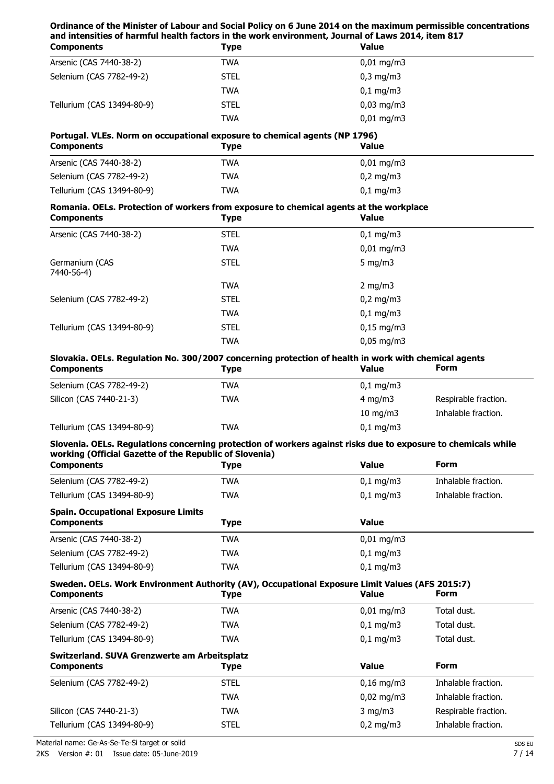## **Ordinance of the Minister of Labour and Social Policy on 6 June 2014 on the maximum permissible concentrations and intensities of harmful health factors in the work environment, Journal of Laws 2014, item 817**

| <b>Components</b>          | Type        | <b>Value</b>           |  |
|----------------------------|-------------|------------------------|--|
| Arsenic (CAS 7440-38-2)    | TWA         | $0,01 \text{ mg/m}$ 3  |  |
| Selenium (CAS 7782-49-2)   | <b>STEL</b> | $0,3$ mg/m $3$         |  |
|                            | <b>TWA</b>  | $0,1 \, \text{mg/m}$   |  |
| Tellurium (CAS 13494-80-9) | <b>STEL</b> | $0,03 \,\mathrm{mg/m}$ |  |
|                            | <b>TWA</b>  | $0,01 \text{ mg/m}$ 3  |  |
|                            |             |                        |  |

## **Portugal. VLEs. Norm on occupational exposure to chemical agents (NP 1796)**

| <b>Components</b>          | Type       | <b>Value</b>             |  |
|----------------------------|------------|--------------------------|--|
| Arsenic (CAS 7440-38-2)    | <b>TWA</b> | $0.01 \,\mathrm{mq/m}$ 3 |  |
| Selenium (CAS 7782-49-2)   | <b>TWA</b> | $0.2 \text{ mg/m}$ 3     |  |
| Tellurium (CAS 13494-80-9) | <b>TWA</b> | $0.1 \,\mathrm{mq/m}$ 3  |  |

# **Romania. OELs. Protection of workers from exposure to chemical agents at the workplace**

| <b>Components</b>            | Type        | <b>Value</b>     |  |
|------------------------------|-------------|------------------|--|
| Arsenic (CAS 7440-38-2)      | <b>STEL</b> | $0,1$ mg/m3      |  |
|                              | <b>TWA</b>  | $0,01$ mg/m3     |  |
| Germanium (CAS<br>7440-56-4) | <b>STEL</b> | 5 mg/m $3$       |  |
|                              | <b>TWA</b>  | $2 \text{ mg/m}$ |  |
| Selenium (CAS 7782-49-2)     | <b>STEL</b> | $0,2$ mg/m3      |  |
|                              | <b>TWA</b>  | $0,1$ mg/m3      |  |
| Tellurium (CAS 13494-80-9)   | <b>STEL</b> | $0,15$ mg/m3     |  |
|                              | <b>TWA</b>  | $0,05$ mg/m3     |  |

# **Slovakia. OELs. Regulation No. 300/2007 concerning protection of health in work with chemical agents**

| <b>Components</b>          | Type | <b>Value</b>            | <b>Form</b>          |
|----------------------------|------|-------------------------|----------------------|
| Selenium (CAS 7782-49-2)   | TWA  | $0.1 \,\mathrm{mq/m}$ 3 |                      |
| Silicon (CAS 7440-21-3)    | TWA  | 4 mg/m $3$              | Respirable fraction. |
|                            |      | $10 \text{ mg/m}$       | Inhalable fraction.  |
| Tellurium (CAS 13494-80-9) | TWA  | $0.1 \,\mathrm{mq/m}$ 3 |                      |

## **Slovenia. OELs. Regulations concerning protection of workers against risks due to exposure to chemicals while working (Official Gazette of the Republic of Slovenia)**

| <b>Components</b>                          | Type       | <b>Value</b>           | <b>Form</b>         |
|--------------------------------------------|------------|------------------------|---------------------|
| Selenium (CAS 7782-49-2)                   | TWA        | $0,1 \, \text{mg/m}$   | Inhalable fraction. |
| Tellurium (CAS 13494-80-9)                 | <b>TWA</b> | $0,1$ mg/m3            | Inhalable fraction. |
| <b>Spain. Occupational Exposure Limits</b> |            |                        |                     |
| <b>Components</b>                          | Type       | <b>Value</b>           |                     |
| Arsenic (CAS 7440-38-2)                    | TWA        | $0,01 \,\mathrm{mg/m}$ |                     |
| Selenium (CAS 7782-49-2)                   | TWA        | $0,1$ mg/m3            |                     |
| Tellurium (CAS 13494-80-9)                 | TWA        | $0.1 \text{ mg/m}$     |                     |

# **Sweden. OELs. Work Environment Authority (AV), Occupational Exposure Limit Values (AFS 2015:7)**

| <b>Components</b>                                                 | <b>Type</b> | <b>Value</b>           | <b>Form</b>          |
|-------------------------------------------------------------------|-------------|------------------------|----------------------|
| Arsenic (CAS 7440-38-2)                                           | TWA         | $0,01 \text{ mg/m}$ 3  | Total dust.          |
| Selenium (CAS 7782-49-2)                                          | <b>TWA</b>  | $0,1$ mg/m3            | Total dust.          |
| Tellurium (CAS 13494-80-9)                                        | <b>TWA</b>  | $0,1 \, \text{mg/m}$   | Total dust.          |
| Switzerland. SUVA Grenzwerte am Arbeitsplatz<br><b>Components</b> | Type        | <b>Value</b>           | <b>Form</b>          |
| Selenium (CAS 7782-49-2)                                          | <b>STEL</b> | $0,16 \text{ mg/m}$    | Inhalable fraction.  |
|                                                                   | <b>TWA</b>  | $0.02 \,\mathrm{mq/m}$ | Inhalable fraction.  |
| Silicon (CAS 7440-21-3)                                           | <b>TWA</b>  | $3 \text{ mg/m}$       | Respirable fraction. |
| Tellurium (CAS 13494-80-9)                                        | <b>STEL</b> | $0,2$ mg/m3            | Inhalable fraction.  |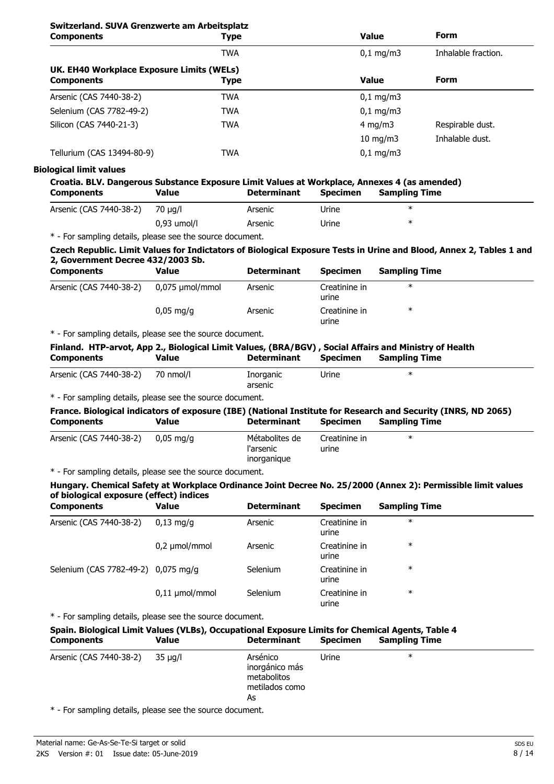# **Switzerland. SUVA Grenzwerte am Arbeitsplatz**

| <b>Components</b>                                              | <b>Type</b> | <b>Value</b>         | <b>Form</b>         |
|----------------------------------------------------------------|-------------|----------------------|---------------------|
|                                                                | <b>TWA</b>  | $0,1 \, \text{mg/m}$ | Inhalable fraction. |
| UK. EH40 Workplace Exposure Limits (WELs)<br><b>Components</b> | <b>Type</b> | <b>Value</b>         | <b>Form</b>         |
| Arsenic (CAS 7440-38-2)                                        | <b>TWA</b>  | $0,1 \, \text{mg/m}$ |                     |
| Selenium (CAS 7782-49-2)                                       | TWA         | $0,1 \, \text{mg/m}$ |                     |
| Silicon (CAS 7440-21-3)                                        | TWA         | 4 mg/m $3$           | Respirable dust.    |
|                                                                |             | $10 \text{ mg/m}$    | Inhalable dust.     |
| Tellurium (CAS 13494-80-9)                                     | <b>TWA</b>  | $0,1 \, \text{mg/m}$ |                     |

#### **Biological limit values**

| Croatia. BLV. Dangerous Substance Exposure Limit Values at Workplace, Annexes 4 (as amended) |               |                    |                 |                      |  |
|----------------------------------------------------------------------------------------------|---------------|--------------------|-----------------|----------------------|--|
| <b>Components</b>                                                                            | Value         | <b>Determinant</b> | <b>Specimen</b> | <b>Sampling Time</b> |  |
| Arsenic (CAS 7440-38-2)                                                                      | 70 ua/l       | Arsenic            | Urine           | ж                    |  |
|                                                                                              | $0.93$ umol/l | Arsenic            | Urine           | ж                    |  |

\* - For sampling details, please see the source document.

### **Czech Republic. Limit Values for Indictators of Biological Exposure Tests in Urine and Blood, Annex 2, Tables 1 and 2, Government Decree 432/2003 Sb.**

| <b>Components</b>       | Value                  | <b>Determinant</b> | <b>Specimen</b>        | <b>Sampling Time</b> |  |
|-------------------------|------------------------|--------------------|------------------------|----------------------|--|
| Arsenic (CAS 7440-38-2) | 0,075 µmol/mmol        | Arsenic            | Creatinine in<br>urine | ∗                    |  |
|                         | $0.05 \,\mathrm{mq/q}$ | Arsenic            | Creatinine in<br>urine | ∗                    |  |

\* - For sampling details, please see the source document.

## **Finland. HTP-arvot, App 2., Biological Limit Values, (BRA/BGV) , Social Affairs and Ministry of Health Components Value Determinant Specimen Sampling Time**

| /440-38-2<br>Arsenic<br>7∆″) <i>ا</i> | nmol/l<br>$\neg$ | 'norganic    | Urine | . |
|---------------------------------------|------------------|--------------|-------|---|
|                                       |                  | arsenic<br>. |       |   |

\* - For sampling details, please see the source document.

## **France. Biological indicators of exposure (IBE) (National Institute for Research and Security (INRS, ND 2065) Components Value Determinant Specimen Sampling Time**

| l'arsenic<br>urine<br>inorganique | Arsenic (CAS 7440-38-2) | $0.05 \,\mathrm{mq/q}$ | Métabolites de | Creatinine in |  |  |
|-----------------------------------|-------------------------|------------------------|----------------|---------------|--|--|
|-----------------------------------|-------------------------|------------------------|----------------|---------------|--|--|

\* - For sampling details, please see the source document.

### **Hungary. Chemical Safety at Workplace Ordinance Joint Decree No. 25/2000 (Annex 2): Permissible limit values of biological exposure (effect) indices**

| <b>Components</b>                   | <b>Value</b>        | <b>Determinant</b> | <b>Specimen</b>        | <b>Sampling Time</b> |  |
|-------------------------------------|---------------------|--------------------|------------------------|----------------------|--|
| Arsenic (CAS 7440-38-2)             | $0.13$ ma/a         | Arsenic            | Creatinine in<br>urine | $\ast$               |  |
|                                     | $0,2 \mu$ mol/mmol  | Arsenic            | Creatinine in<br>urine | $\ast$               |  |
| Selenium (CAS 7782-49-2) 0,075 mg/g |                     | Selenium           | Creatinine in<br>urine | $\ast$               |  |
|                                     | $0,11 \mu$ mol/mmol | <b>Selenium</b>    | Creatinine in<br>urine | $\ast$               |  |

\* - For sampling details, please see the source document.

# **Spain. Biological Limit Values (VLBs), Occupational Exposure Limits for Chemical Agents, Table 4 Components Value Determinant Specimen Sampling Time**

| Arsenic (CAS 7440-38-2) 35 µg/l |  | Arsénico<br>inorgánico más<br>metabolitos<br>metilados como<br>As | Urine | ∗ |
|---------------------------------|--|-------------------------------------------------------------------|-------|---|
|---------------------------------|--|-------------------------------------------------------------------|-------|---|

\* - For sampling details, please see the source document.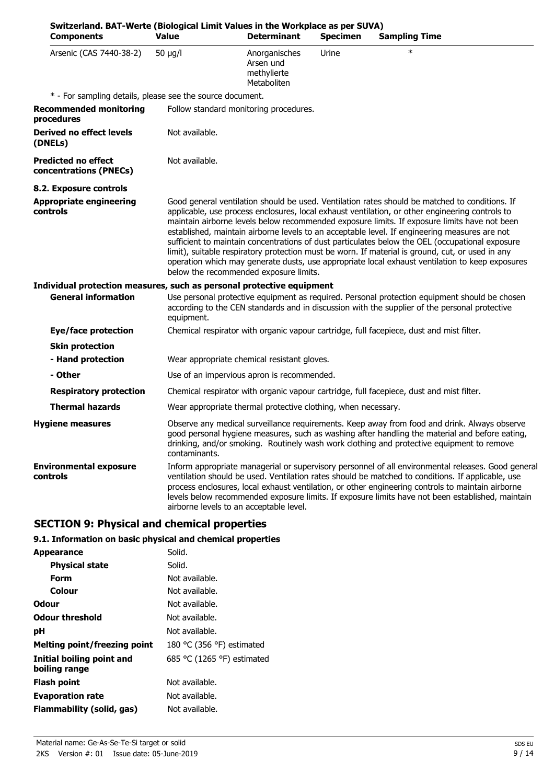| Switzerland. BAT-Werte (Biological Limit Values in the Workplace as per SUVA)<br><b>Components</b> | <b>Value</b>   | <b>Determinant</b>                                            | <b>Specimen</b> | <b>Sampling Time</b>                                                                                                                                                                                                                                                                                                                                                                                                                                                                                                                                                                                                                                                                                         |
|----------------------------------------------------------------------------------------------------|----------------|---------------------------------------------------------------|-----------------|--------------------------------------------------------------------------------------------------------------------------------------------------------------------------------------------------------------------------------------------------------------------------------------------------------------------------------------------------------------------------------------------------------------------------------------------------------------------------------------------------------------------------------------------------------------------------------------------------------------------------------------------------------------------------------------------------------------|
| Arsenic (CAS 7440-38-2)                                                                            | $50 \mu g/l$   | Anorganisches<br>Arsen und<br>methylierte<br>Metaboliten      | Urine           |                                                                                                                                                                                                                                                                                                                                                                                                                                                                                                                                                                                                                                                                                                              |
| * - For sampling details, please see the source document.                                          |                |                                                               |                 |                                                                                                                                                                                                                                                                                                                                                                                                                                                                                                                                                                                                                                                                                                              |
| <b>Recommended monitoring</b><br>procedures                                                        |                | Follow standard monitoring procedures.                        |                 |                                                                                                                                                                                                                                                                                                                                                                                                                                                                                                                                                                                                                                                                                                              |
| <b>Derived no effect levels</b><br>(DNELs)                                                         | Not available. |                                                               |                 |                                                                                                                                                                                                                                                                                                                                                                                                                                                                                                                                                                                                                                                                                                              |
| <b>Predicted no effect</b><br>concentrations (PNECs)                                               | Not available. |                                                               |                 |                                                                                                                                                                                                                                                                                                                                                                                                                                                                                                                                                                                                                                                                                                              |
| 8.2. Exposure controls                                                                             |                |                                                               |                 |                                                                                                                                                                                                                                                                                                                                                                                                                                                                                                                                                                                                                                                                                                              |
| <b>Appropriate engineering</b><br>controls                                                         |                | below the recommended exposure limits.                        |                 | Good general ventilation should be used. Ventilation rates should be matched to conditions. If<br>applicable, use process enclosures, local exhaust ventilation, or other engineering controls to<br>maintain airborne levels below recommended exposure limits. If exposure limits have not been<br>established, maintain airborne levels to an acceptable level. If engineering measures are not<br>sufficient to maintain concentrations of dust particulates below the OEL (occupational exposure<br>limit), suitable respiratory protection must be worn. If material is ground, cut, or used in any<br>operation which may generate dusts, use appropriate local exhaust ventilation to keep exposures |
| Individual protection measures, such as personal protective equipment                              |                |                                                               |                 |                                                                                                                                                                                                                                                                                                                                                                                                                                                                                                                                                                                                                                                                                                              |
| <b>General information</b>                                                                         | equipment.     |                                                               |                 | Use personal protective equipment as required. Personal protection equipment should be chosen<br>according to the CEN standards and in discussion with the supplier of the personal protective                                                                                                                                                                                                                                                                                                                                                                                                                                                                                                               |
| Eye/face protection                                                                                |                |                                                               |                 | Chemical respirator with organic vapour cartridge, full facepiece, dust and mist filter.                                                                                                                                                                                                                                                                                                                                                                                                                                                                                                                                                                                                                     |
| <b>Skin protection</b>                                                                             |                |                                                               |                 |                                                                                                                                                                                                                                                                                                                                                                                                                                                                                                                                                                                                                                                                                                              |
| - Hand protection                                                                                  |                | Wear appropriate chemical resistant gloves.                   |                 |                                                                                                                                                                                                                                                                                                                                                                                                                                                                                                                                                                                                                                                                                                              |
| - Other                                                                                            |                | Use of an impervious apron is recommended.                    |                 |                                                                                                                                                                                                                                                                                                                                                                                                                                                                                                                                                                                                                                                                                                              |
| <b>Respiratory protection</b>                                                                      |                |                                                               |                 | Chemical respirator with organic vapour cartridge, full facepiece, dust and mist filter.                                                                                                                                                                                                                                                                                                                                                                                                                                                                                                                                                                                                                     |
| <b>Thermal hazards</b>                                                                             |                | Wear appropriate thermal protective clothing, when necessary. |                 |                                                                                                                                                                                                                                                                                                                                                                                                                                                                                                                                                                                                                                                                                                              |
| <b>Hygiene measures</b>                                                                            | contaminants.  |                                                               |                 | Observe any medical surveillance requirements. Keep away from food and drink. Always observe<br>good personal hygiene measures, such as washing after handling the material and before eating,<br>drinking, and/or smoking. Routinely wash work clothing and protective equipment to remove                                                                                                                                                                                                                                                                                                                                                                                                                  |
| <b>Environmental exposure</b><br>controls                                                          |                | airborne levels to an acceptable level.                       |                 | Inform appropriate managerial or supervisory personnel of all environmental releases. Good general<br>ventilation should be used. Ventilation rates should be matched to conditions. If applicable, use<br>process enclosures, local exhaust ventilation, or other engineering controls to maintain airborne<br>levels below recommended exposure limits. If exposure limits have not been established, maintain                                                                                                                                                                                                                                                                                             |

# **SECTION 9: Physical and chemical properties**

# **9.1. Information on basic physical and chemical properties**

| Appearance                                 | Solid.                     |
|--------------------------------------------|----------------------------|
| <b>Physical state</b>                      | Solid.                     |
| Form                                       | Not available.             |
| Colour                                     | Not available.             |
| Odour                                      | Not available.             |
| <b>Odour threshold</b>                     | Not available.             |
| рH                                         | Not available.             |
| Melting point/freezing point               | 180 °C (356 °F) estimated  |
| Initial boiling point and<br>boiling range | 685 °C (1265 °F) estimated |
| Flash point                                | Not available.             |
| <b>Evaporation rate</b>                    | Not available.             |
| Flammability (solid, gas)                  | Not available.             |
|                                            |                            |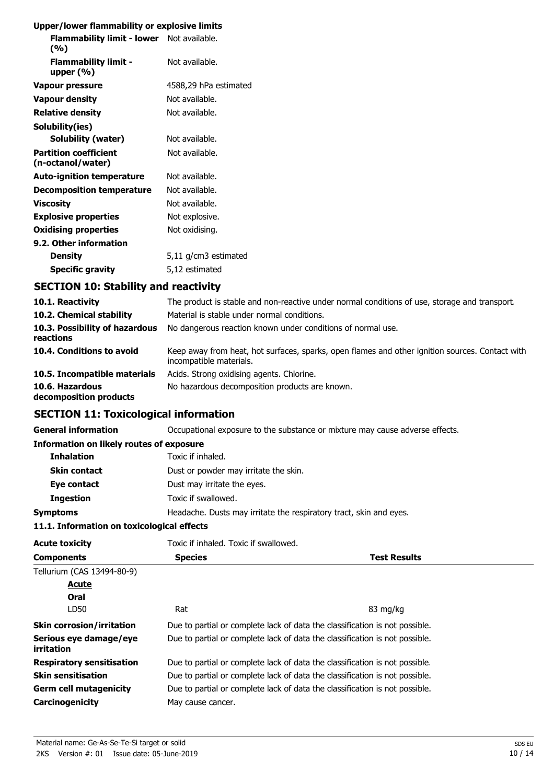# **Upper/lower flammability or explosive limits**

| Flammability limit - lower Not available.<br>(%)  |                       |
|---------------------------------------------------|-----------------------|
| <b>Flammability limit -</b><br>upper $(\%)$       | Not available.        |
| Vapour pressure                                   | 4588,29 hPa estimated |
| <b>Vapour density</b>                             | Not available.        |
| <b>Relative density</b>                           | Not available.        |
| Solubility(ies)                                   |                       |
| Solubility (water)                                | Not available.        |
| <b>Partition coefficient</b><br>(n-octanol/water) | Not available.        |
| <b>Auto-ignition temperature</b>                  | Not available.        |
| Decomposition temperature                         | Not available.        |
| <b>Viscosity</b>                                  | Not available.        |
| <b>Explosive properties</b>                       | Not explosive.        |
| <b>Oxidising properties</b>                       | Not oxidising.        |
| 9.2. Other information                            |                       |
| <b>Density</b>                                    | 5,11 g/cm3 estimated  |
| <b>Specific gravity</b>                           | 5,12 estimated        |

# **SECTION 10: Stability and reactivity**

| 10.1. Reactivity                            | The product is stable and non-reactive under normal conditions of use, storage and transport.                              |
|---------------------------------------------|----------------------------------------------------------------------------------------------------------------------------|
| 10.2. Chemical stability                    | Material is stable under normal conditions.                                                                                |
| 10.3. Possibility of hazardous<br>reactions | No dangerous reaction known under conditions of normal use.                                                                |
| 10.4. Conditions to avoid                   | Keep away from heat, hot surfaces, sparks, open flames and other ignition sources. Contact with<br>incompatible materials. |
| 10.5. Incompatible materials                | Acids. Strong oxidising agents. Chlorine.                                                                                  |
| 10.6. Hazardous<br>decomposition products   | No hazardous decomposition products are known.                                                                             |

## **SECTION 11: Toxicological information**

**General information CCCUPATION** Occupational exposure to the substance or mixture may cause adverse effects.

### **Information on likely routes of exposure**

| <b>Inhalation</b>   | Toxic if inhaled.                                                  |
|---------------------|--------------------------------------------------------------------|
| <b>Skin contact</b> | Dust or powder may irritate the skin.                              |
| Eye contact         | Dust may irritate the eyes.                                        |
| <b>Ingestion</b>    | Toxic if swallowed.                                                |
| <b>Symptoms</b>     | Headache. Dusts may irritate the respiratory tract, skin and eyes. |

## **11.1. Information on toxicological effects**

| <b>Acute toxicity</b>                       | Toxic if inhaled. Toxic if swallowed.                                       |                                                                             |  |
|---------------------------------------------|-----------------------------------------------------------------------------|-----------------------------------------------------------------------------|--|
| <b>Components</b>                           | <b>Species</b>                                                              | <b>Test Results</b>                                                         |  |
| Tellurium (CAS 13494-80-9)                  |                                                                             |                                                                             |  |
| <b>Acute</b>                                |                                                                             |                                                                             |  |
| Oral                                        |                                                                             |                                                                             |  |
| LD50                                        | Rat                                                                         | 83 mg/kg                                                                    |  |
| <b>Skin corrosion/irritation</b>            |                                                                             | Due to partial or complete lack of data the classification is not possible. |  |
| Serious eye damage/eye<br><i>irritation</i> |                                                                             | Due to partial or complete lack of data the classification is not possible. |  |
| <b>Respiratory sensitisation</b>            |                                                                             | Due to partial or complete lack of data the classification is not possible. |  |
| <b>Skin sensitisation</b>                   | Due to partial or complete lack of data the classification is not possible. |                                                                             |  |
| <b>Germ cell mutagenicity</b>               | Due to partial or complete lack of data the classification is not possible. |                                                                             |  |
| Carcinogenicity                             | May cause cancer.                                                           |                                                                             |  |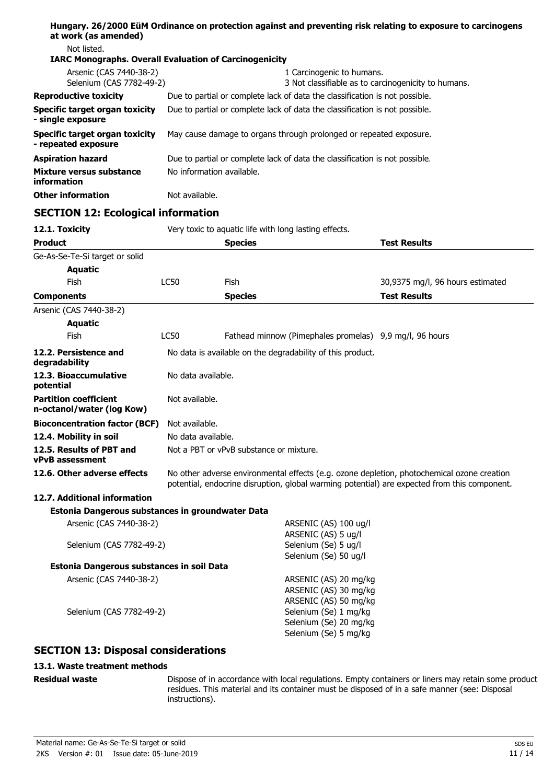| at work (as amended)                                          |                                                                             | Hungary. 26/2000 EüM Ordinance on protection against and preventing risk relating to exposure to carcinogens |                                                     |
|---------------------------------------------------------------|-----------------------------------------------------------------------------|--------------------------------------------------------------------------------------------------------------|-----------------------------------------------------|
| Not listed.                                                   |                                                                             |                                                                                                              |                                                     |
| <b>IARC Monographs. Overall Evaluation of Carcinogenicity</b> |                                                                             |                                                                                                              |                                                     |
| Arsenic (CAS 7440-38-2)                                       |                                                                             | 1 Carcinogenic to humans.                                                                                    |                                                     |
| Selenium (CAS 7782-49-2)                                      |                                                                             |                                                                                                              | 3 Not classifiable as to carcinogenicity to humans. |
| <b>Reproductive toxicity</b>                                  |                                                                             | Due to partial or complete lack of data the classification is not possible.                                  |                                                     |
| Specific target organ toxicity<br>- single exposure           |                                                                             | Due to partial or complete lack of data the classification is not possible.                                  |                                                     |
| Specific target organ toxicity<br>- repeated exposure         |                                                                             | May cause damage to organs through prolonged or repeated exposure.                                           |                                                     |
| Aspiration hazard                                             | Due to partial or complete lack of data the classification is not possible. |                                                                                                              |                                                     |
| Mixture versus substance<br>information                       | No information available.                                                   |                                                                                                              |                                                     |
| <b>Other information</b>                                      | Not available.                                                              |                                                                                                              |                                                     |
| <b>SECTION 12: Ecological information</b>                     |                                                                             |                                                                                                              |                                                     |
| 12.1. Toxicity                                                |                                                                             | Very toxic to aquatic life with long lasting effects.                                                        |                                                     |
| Product                                                       |                                                                             | <b>Species</b>                                                                                               | <b>Test Results</b>                                 |
| Ge-As-Se-Te-Si target or solid                                |                                                                             |                                                                                                              |                                                     |
| <b>Aquatic</b>                                                |                                                                             |                                                                                                              |                                                     |
| <b>Fish</b>                                                   | <b>LC50</b>                                                                 | Fish                                                                                                         | 30,9375 mg/l, 96 hours estimated                    |
| Components                                                    |                                                                             | <b>Species</b>                                                                                               | <b>Test Results</b>                                 |
| Arsenic (CAS 7440-38-2)                                       |                                                                             |                                                                                                              |                                                     |
| <b>Aquatic</b>                                                |                                                                             |                                                                                                              |                                                     |
| <b>Fish</b>                                                   | LC50                                                                        | Fathead minnow (Pimephales promelas) 9,9 mg/l, 96 hours                                                      |                                                     |
| 12.2. Persistence and<br>degradability                        |                                                                             | No data is available on the degradability of this product.                                                   |                                                     |

## **Bioconcentration factor (BCF)** Not available. **12.4. Mobility in soil** No data available. **12.5. Results of PBT and** Not a PBT or vPvB substance or mixture. **vPvB assessment 12.6. Other adverse effects** No other adverse environmental effects (e.g. ozone depletion, photochemical ozone creation potential, endocrine disruption, global warming potential) are expected from this component. **12.7. Additional information Estonia Dangerous substances in groundwater Data** Arsenic (CAS 7440-38-2) ARSENIC (AS) 100 ug/l

### ARSENIC (AS) 5 ug/l Selenium (CAS 7782-49-2) Selenium (Se) 5 ug/l Selenium (Se) 50 ug/l **Estonia Dangerous substances in soil Data** Arsenic (CAS 7440-38-2) ARSENIC (AS) 20 mg/kg ARSENIC (AS) 30 mg/kg ARSENIC (AS) 50 mg/kg Selenium (CAS 7782-49-2) Selenium (Se) 1 mg/kg Selenium (Se) 20 mg/kg Selenium (Se) 5 mg/kg

Not available.

## **SECTION 13: Disposal considerations**

12.3. Bioaccumulative No data available.

## **13.1. Waste treatment methods**

**Residual waste**

**potential**

**Partition coefficient n-octanol/water (log Kow)**

> Dispose of in accordance with local regulations. Empty containers or liners may retain some product residues. This material and its container must be disposed of in a safe manner (see: Disposal instructions).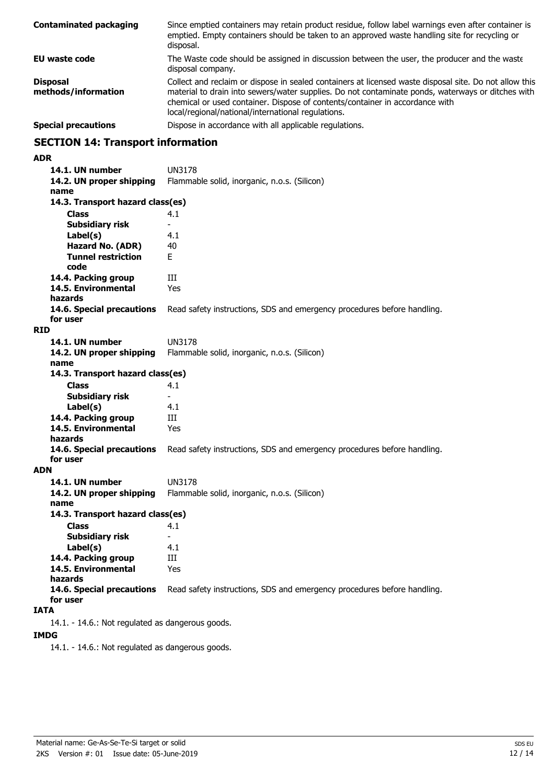| <b>Contaminated packaging</b>          | Since emptied containers may retain product residue, follow label warnings even after container is<br>emptied. Empty containers should be taken to an approved waste handling site for recycling or<br>disposal.                                                                                                                                  |
|----------------------------------------|---------------------------------------------------------------------------------------------------------------------------------------------------------------------------------------------------------------------------------------------------------------------------------------------------------------------------------------------------|
| EU waste code                          | The Waste code should be assigned in discussion between the user, the producer and the waste<br>disposal company.                                                                                                                                                                                                                                 |
| <b>Disposal</b><br>methods/information | Collect and reclaim or dispose in sealed containers at licensed waste disposal site. Do not allow this<br>material to drain into sewers/water supplies. Do not contaminate ponds, waterways or ditches with<br>chemical or used container. Dispose of contents/container in accordance with<br>local/regional/national/international regulations. |
| <b>Special precautions</b>             | Dispose in accordance with all applicable regulations.                                                                                                                                                                                                                                                                                            |

## **SECTION 14: Transport information**

#### **ADR**

**14.1. UN number** UN3178 **14.2. UN proper shipping** Flammable solid, inorganic, n.o.s. (Silicon) **name Class** 4.1 **14.3. Transport hazard class(es) Subsidiary risk Label(s)** 4.1 **Hazard No. (ADR)** 40 **Tunnel restriction** E **code** 14.4. Packing group **III 14.5. Environmental** Yes **hazards 14.6. Special precautions** Read safety instructions, SDS and emergency procedures before handling. **for user RID 14.1. UN number** UN3178 **14.2. UN proper shipping** Flammable solid, inorganic, n.o.s. (Silicon) **name Class** 4.1 **14.3. Transport hazard class(es) Subsidiary risk Label(s)** 4.1 **14.4. Packing group III 14.5. Environmental** Yes **hazards 14.6. Special precautions** Read safety instructions, SDS and emergency procedures before handling. **for user ADN 14.1. UN number** UN3178 **14.2. UN proper shipping** Flammable solid, inorganic, n.o.s. (Silicon) **name Class** 4.1 **14.3. Transport hazard class(es) Subsidiary risk** - Label(s) **14.4. Packing group III 14.5. Environmental** Yes **hazards 14.6. Special precautions** Read safety instructions, SDS and emergency procedures before handling. **for user IATA** 14.1. - 14.6.: Not regulated as dangerous goods.

### **IMDG**

14.1. - 14.6.: Not regulated as dangerous goods.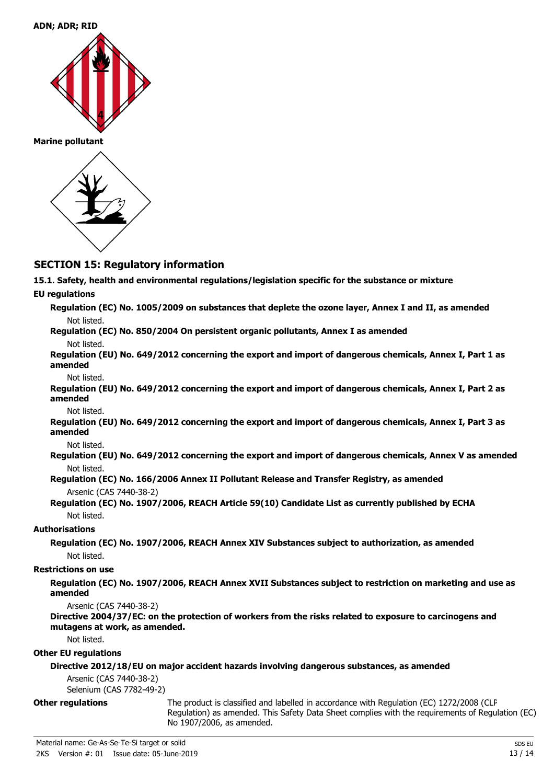

**Marine pollutant**



## **SECTION 15: Regulatory information**

**15.1. Safety, health and environmental regulations/legislation specific for the substance or mixture**

### **EU regulations**

**Regulation (EC) No. 1005/2009 on substances that deplete the ozone layer, Annex I and II, as amended** Not listed. **Regulation (EC) No. 850/2004 On persistent organic pollutants, Annex I as amended** Not listed.

**Regulation (EU) No. 649/2012 concerning the export and import of dangerous chemicals, Annex I, Part 1 as amended**

#### Not listed.

**Regulation (EU) No. 649/2012 concerning the export and import of dangerous chemicals, Annex I, Part 2 as amended**

Not listed.

**Regulation (EU) No. 649/2012 concerning the export and import of dangerous chemicals, Annex I, Part 3 as amended**

Not listed.

**Regulation (EU) No. 649/2012 concerning the export and import of dangerous chemicals, Annex V as amended** Not listed.

- **Regulation (EC) No. 166/2006 Annex II Pollutant Release and Transfer Registry, as amended** Arsenic (CAS 7440-38-2)
- **Regulation (EC) No. 1907/2006, REACH Article 59(10) Candidate List as currently published by ECHA** Not listed.

## **Authorisations**

**Regulation (EC) No. 1907/2006, REACH Annex XIV Substances subject to authorization, as amended** Not listed.

### **Restrictions on use**

**Regulation (EC) No. 1907/2006, REACH Annex XVII Substances subject to restriction on marketing and use as amended**

Arsenic (CAS 7440-38-2)

**Directive 2004/37/EC: on the protection of workers from the risks related to exposure to carcinogens and mutagens at work, as amended.**

Not listed.

### **Other EU regulations**

## **Directive 2012/18/EU on major accident hazards involving dangerous substances, as amended**

Arsenic (CAS 7440-38-2)

Selenium (CAS 7782-49-2)

### **Other regulations**

The product is classified and labelled in accordance with Regulation (EC) 1272/2008 (CLP Regulation) as amended. This Safety Data Sheet complies with the requirements of Regulation (EC) No 1907/2006, as amended.